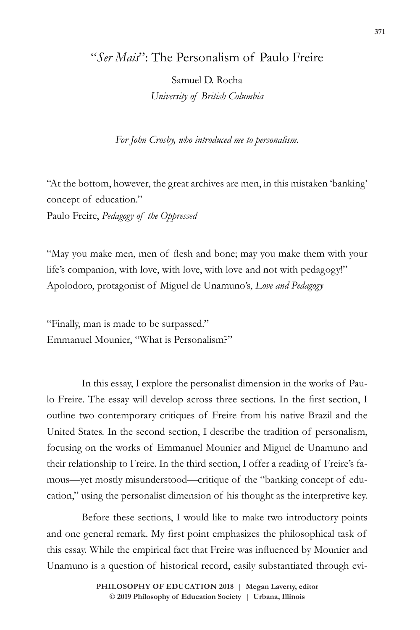## "*Ser Mais*": The Personalism of Paulo Freire

Samuel D. Rocha *University of British Columbia*

*For John Crosby, who introduced me to personalism.*

"At the bottom, however, the great archives are men, in this mistaken 'banking' concept of education."

Paulo Freire, *Pedagogy of the Oppressed*

"May you make men, men of flesh and bone; may you make them with your life's companion, with love, with love, with love and not with pedagogy!" Apolodoro, protagonist of Miguel de Unamuno's, *Love and Pedagogy*

"Finally, man is made to be surpassed." Emmanuel Mounier, "What is Personalism?"

In this essay, I explore the personalist dimension in the works of Paulo Freire. The essay will develop across three sections. In the first section, I outline two contemporary critiques of Freire from his native Brazil and the United States. In the second section, I describe the tradition of personalism, focusing on the works of Emmanuel Mounier and Miguel de Unamuno and their relationship to Freire. In the third section, I offer a reading of Freire's famous—yet mostly misunderstood—critique of the "banking concept of education," using the personalist dimension of his thought as the interpretive key.

Before these sections, I would like to make two introductory points and one general remark. My first point emphasizes the philosophical task of this essay. While the empirical fact that Freire was influenced by Mounier and Unamuno is a question of historical record, easily substantiated through evi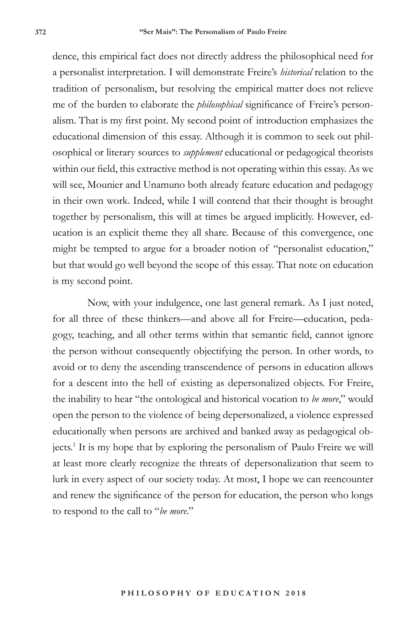dence, this empirical fact does not directly address the philosophical need for a personalist interpretation. I will demonstrate Freire's *historical* relation to the tradition of personalism, but resolving the empirical matter does not relieve me of the burden to elaborate the *philosophical* significance of Freire's personalism. That is my first point. My second point of introduction emphasizes the educational dimension of this essay. Although it is common to seek out philosophical or literary sources to *supplement* educational or pedagogical theorists within our field, this extractive method is not operating within this essay. As we will see, Mounier and Unamuno both already feature education and pedagogy in their own work. Indeed, while I will contend that their thought is brought together by personalism, this will at times be argued implicitly. However, education is an explicit theme they all share. Because of this convergence, one might be tempted to argue for a broader notion of "personalist education," but that would go well beyond the scope of this essay. That note on education is my second point.

Now, with your indulgence, one last general remark. As I just noted, for all three of these thinkers—and above all for Freire—education, pedagogy, teaching, and all other terms within that semantic field, cannot ignore the person without consequently objectifying the person. In other words, to avoid or to deny the ascending transcendence of persons in education allows for a descent into the hell of existing as depersonalized objects. For Freire, the inability to hear "the ontological and historical vocation to *be more*," would open the person to the violence of being depersonalized, a violence expressed educationally when persons are archived and banked away as pedagogical objects.1 It is my hope that by exploring the personalism of Paulo Freire we will at least more clearly recognize the threats of depersonalization that seem to lurk in every aspect of our society today. At most, I hope we can reencounter and renew the significance of the person for education, the person who longs to respond to the call to "*be more*."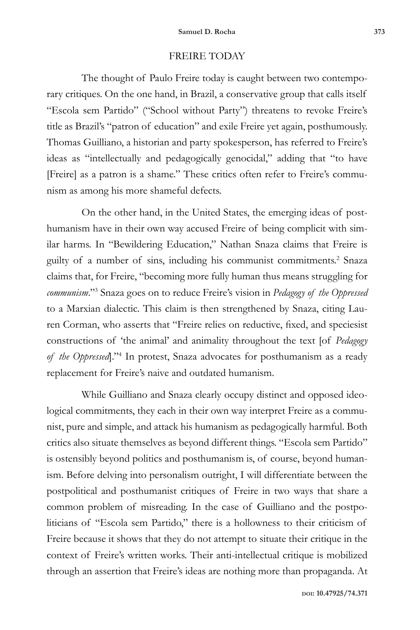## FREIRE TODAY

The thought of Paulo Freire today is caught between two contemporary critiques. On the one hand, in Brazil, a conservative group that calls itself "Escola sem Partido" ("School without Party") threatens to revoke Freire's title as Brazil's "patron of education" and exile Freire yet again, posthumously. Thomas Guilliano, a historian and party spokesperson, has referred to Freire's ideas as "intellectually and pedagogically genocidal," adding that "to have [Freire] as a patron is a shame." These critics often refer to Freire's communism as among his more shameful defects.

On the other hand, in the United States, the emerging ideas of posthumanism have in their own way accused Freire of being complicit with similar harms. In "Bewildering Education," Nathan Snaza claims that Freire is guilty of a number of sins, including his communist commitments.<sup>2</sup> Snaza claims that, for Freire, "becoming more fully human thus means struggling for *communism*."3 Snaza goes on to reduce Freire's vision in *Pedagogy of the Oppressed* to a Marxian dialectic. This claim is then strengthened by Snaza, citing Lauren Corman, who asserts that "Freire relies on reductive, fixed, and speciesist constructions of 'the animal' and animality throughout the text [of *Pedagogy of the Oppressed*]."4 In protest, Snaza advocates for posthumanism as a ready replacement for Freire's naive and outdated humanism.

While Guilliano and Snaza clearly occupy distinct and opposed ideological commitments, they each in their own way interpret Freire as a communist, pure and simple, and attack his humanism as pedagogically harmful. Both critics also situate themselves as beyond different things. "Escola sem Partido" is ostensibly beyond politics and posthumanism is, of course, beyond humanism. Before delving into personalism outright, I will differentiate between the postpolitical and posthumanist critiques of Freire in two ways that share a common problem of misreading. In the case of Guilliano and the postpoliticians of "Escola sem Partido," there is a hollowness to their criticism of Freire because it shows that they do not attempt to situate their critique in the context of Freire's written works. Their anti-intellectual critique is mobilized through an assertion that Freire's ideas are nothing more than propaganda. At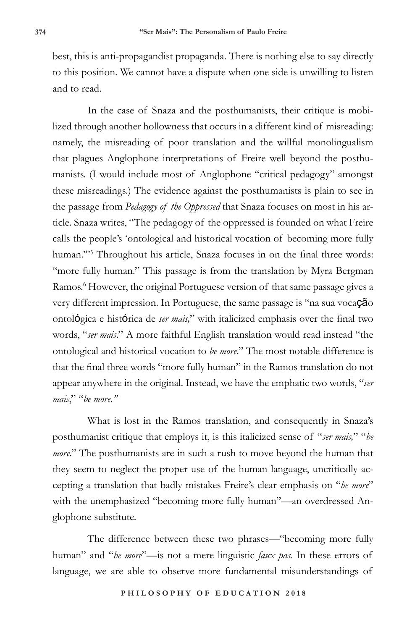best, this is anti-propagandist propaganda. There is nothing else to say directly to this position. We cannot have a dispute when one side is unwilling to listen and to read.

In the case of Snaza and the posthumanists, their critique is mobilized through another hollowness that occurs in a different kind of misreading: namely, the misreading of poor translation and the willful monolingualism that plagues Anglophone interpretations of Freire well beyond the posthumanists. (I would include most of Anglophone "critical pedagogy" amongst these misreadings.) The evidence against the posthumanists is plain to see in the passage from *Pedagogy of the Oppressed* that Snaza focuses on most in his article. Snaza writes, "The pedagogy of the oppressed is founded on what Freire calls the people's 'ontological and historical vocation of becoming more fully human.'"5 Throughout his article, Snaza focuses in on the final three words: "more fully human." This passage is from the translation by Myra Bergman Ramos.<sup>6</sup> However, the original Portuguese version of that same passage gives a very different impression. In Portuguese, the same passage is "na sua vocação ontológica e histórica de *ser mais,*" with italicized emphasis over the final two words, "*ser mais*." A more faithful English translation would read instead "the ontological and historical vocation to *be more*." The most notable difference is that the final three words "more fully human" in the Ramos translation do not appear anywhere in the original. Instead, we have the emphatic two words, "*ser mais*," "*be more."*

What is lost in the Ramos translation, and consequently in Snaza's posthumanist critique that employs it, is this italicized sense of "*ser mais,*" "*be more.*" The posthumanists are in such a rush to move beyond the human that they seem to neglect the proper use of the human language, uncritically accepting a translation that badly mistakes Freire's clear emphasis on "*be more*" with the unemphasized "becoming more fully human"—an overdressed Anglophone substitute.

The difference between these two phrases—"becoming more fully human" and "*be more*"—is not a mere linguistic *faux pas.* In these errors of language, we are able to observe more fundamental misunderstandings of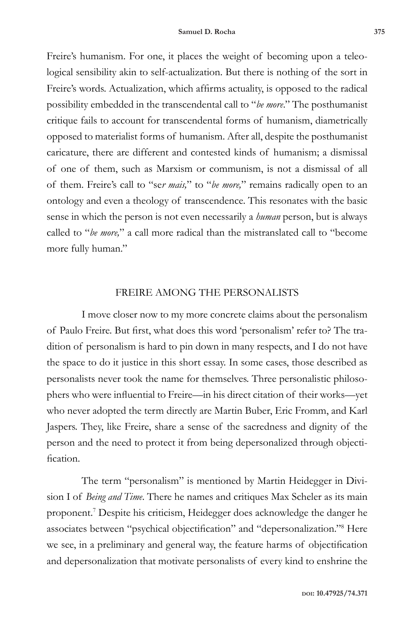Freire's humanism. For one, it places the weight of becoming upon a teleological sensibility akin to self-actualization. But there is nothing of the sort in Freire's words. Actualization, which affirms actuality, is opposed to the radical possibility embedded in the transcendental call to "*be more*." The posthumanist critique fails to account for transcendental forms of humanism, diametrically opposed to materialist forms of humanism. After all, despite the posthumanist caricature, there are different and contested kinds of humanism; a dismissal of one of them, such as Marxism or communism, is not a dismissal of all of them. Freire's call to "se*r mais,*" to "*be more,*" remains radically open to an ontology and even a theology of transcendence. This resonates with the basic sense in which the person is not even necessarily a *human* person, but is always called to "*be more,*" a call more radical than the mistranslated call to "become more fully human."

## FREIRE AMONG THE PERSONALISTS

I move closer now to my more concrete claims about the personalism of Paulo Freire. But first, what does this word 'personalism' refer to? The tradition of personalism is hard to pin down in many respects, and I do not have the space to do it justice in this short essay. In some cases, those described as personalists never took the name for themselves. Three personalistic philosophers who were influential to Freire—in his direct citation of their works—yet who never adopted the term directly are Martin Buber, Eric Fromm, and Karl Jaspers. They, like Freire, share a sense of the sacredness and dignity of the person and the need to protect it from being depersonalized through objectification.

The term "personalism" is mentioned by Martin Heidegger in Division I of *Being and Time*. There he names and critiques Max Scheler as its main proponent.7 Despite his criticism, Heidegger does acknowledge the danger he associates between "psychical objectification" and "depersonalization."<sup>8</sup> Here we see, in a preliminary and general way, the feature harms of objectification and depersonalization that motivate personalists of every kind to enshrine the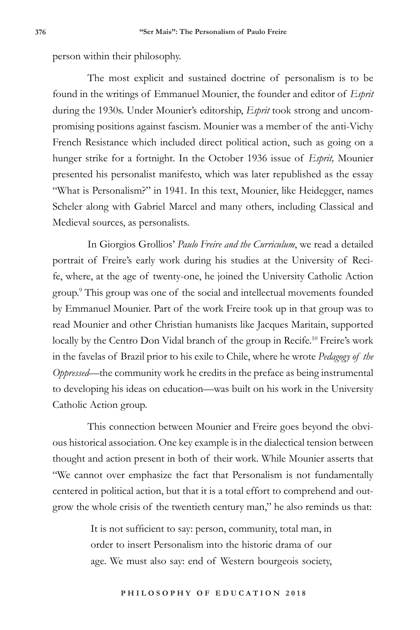person within their philosophy.

The most explicit and sustained doctrine of personalism is to be found in the writings of Emmanuel Mounier, the founder and editor of *Esprit* during the 1930s. Under Mounier's editorship, *Esprit* took strong and uncompromising positions against fascism. Mounier was a member of the anti-Vichy French Resistance which included direct political action, such as going on a hunger strike for a fortnight. In the October 1936 issue of *Esprit,* Mounier presented his personalist manifesto, which was later republished as the essay "What is Personalism?" in 1941. In this text, Mounier, like Heidegger, names Scheler along with Gabriel Marcel and many others, including Classical and Medieval sources, as personalists.

In Giorgios Grollios' *Paulo Freire and the Curriculum*, we read a detailed portrait of Freire's early work during his studies at the University of Recife, where, at the age of twenty-one, he joined the University Catholic Action group.9 This group was one of the social and intellectual movements founded by Emmanuel Mounier. Part of the work Freire took up in that group was to read Mounier and other Christian humanists like Jacques Maritain, supported locally by the Centro Don Vidal branch of the group in Recife.<sup>10</sup> Freire's work in the favelas of Brazil prior to his exile to Chile, where he wrote *Pedagogy of the Oppressed*—the community work he credits in the preface as being instrumental to developing his ideas on education—was built on his work in the University Catholic Action group.

This connection between Mounier and Freire goes beyond the obvious historical association. One key example is in the dialectical tension between thought and action present in both of their work. While Mounier asserts that "We cannot over emphasize the fact that Personalism is not fundamentally centered in political action, but that it is a total effort to comprehend and outgrow the whole crisis of the twentieth century man," he also reminds us that:

> It is not sufficient to say: person, community, total man, in order to insert Personalism into the historic drama of our age. We must also say: end of Western bourgeois society,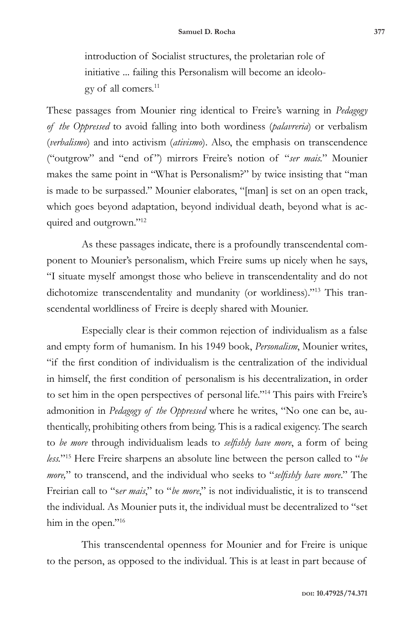introduction of Socialist structures, the proletarian role of initiative ... failing this Personalism will become an ideology of all comers.11

These passages from Mounier ring identical to Freire's warning in *Pedagogy of the Oppressed* to avoid falling into both wordiness (*palavreria*) or verbalism (*verbalismo*) and into activism (*ativismo*). Also, the emphasis on transcendence ("outgrow" and "end of ") mirrors Freire's notion of "*ser mais.*" Mounier makes the same point in "What is Personalism?" by twice insisting that "man is made to be surpassed." Mounier elaborates, "[man] is set on an open track, which goes beyond adaptation, beyond individual death, beyond what is acquired and outgrown."12

As these passages indicate, there is a profoundly transcendental component to Mounier's personalism, which Freire sums up nicely when he says, "I situate myself amongst those who believe in transcendentality and do not dichotomize transcendentality and mundanity (or worldiness)."13 This transcendental worldliness of Freire is deeply shared with Mounier.

Especially clear is their common rejection of individualism as a false and empty form of humanism. In his 1949 book, *Personalism*, Mounier writes, "if the first condition of individualism is the centralization of the individual in himself, the first condition of personalism is his decentralization, in order to set him in the open perspectives of personal life."14 This pairs with Freire's admonition in *Pedagogy of the Oppressed* where he writes, "No one can be, authentically, prohibiting others from being. This is a radical exigency. The search to *be more* through individualism leads to *selfishly have more*, a form of being *less.*"15 Here Freire sharpens an absolute line between the person called to "*be more,*" to transcend, and the individual who seeks to "*selfishly have more*." The Freirian call to "s*er mais*," to "*be more*," is not individualistic, it is to transcend the individual. As Mounier puts it, the individual must be decentralized to "set him in the open."<sup>16</sup>

This transcendental openness for Mounier and for Freire is unique to the person, as opposed to the individual. This is at least in part because of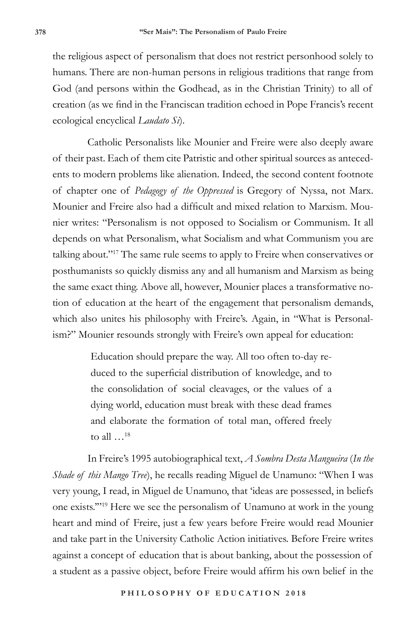the religious aspect of personalism that does not restrict personhood solely to humans. There are non-human persons in religious traditions that range from God (and persons within the Godhead, as in the Christian Trinity) to all of creation (as we find in the Franciscan tradition echoed in Pope Francis's recent ecological encyclical *Laudato Si*).

Catholic Personalists like Mounier and Freire were also deeply aware of their past. Each of them cite Patristic and other spiritual sources as antecedents to modern problems like alienation. Indeed, the second content footnote of chapter one of *Pedagogy of the Oppressed* is Gregory of Nyssa, not Marx. Mounier and Freire also had a difficult and mixed relation to Marxism. Mounier writes: "Personalism is not opposed to Socialism or Communism. It all depends on what Personalism, what Socialism and what Communism you are talking about."17 The same rule seems to apply to Freire when conservatives or posthumanists so quickly dismiss any and all humanism and Marxism as being the same exact thing. Above all, however, Mounier places a transformative notion of education at the heart of the engagement that personalism demands, which also unites his philosophy with Freire's. Again, in "What is Personalism?" Mounier resounds strongly with Freire's own appeal for education:

> Education should prepare the way. All too often to-day reduced to the superficial distribution of knowledge, and to the consolidation of social cleavages, or the values of a dying world, education must break with these dead frames and elaborate the formation of total man, offered freely to all …18

In Freire's 1995 autobiographical text, *A Sombra Desta Mangueira* (*In the Shade of this Mango Tree*), he recalls reading Miguel de Unamuno: "When I was very young, I read, in Miguel de Unamuno, that 'ideas are possessed, in beliefs one exists.'"19 Here we see the personalism of Unamuno at work in the young heart and mind of Freire, just a few years before Freire would read Mounier and take part in the University Catholic Action initiatives. Before Freire writes against a concept of education that is about banking, about the possession of a student as a passive object, before Freire would affirm his own belief in the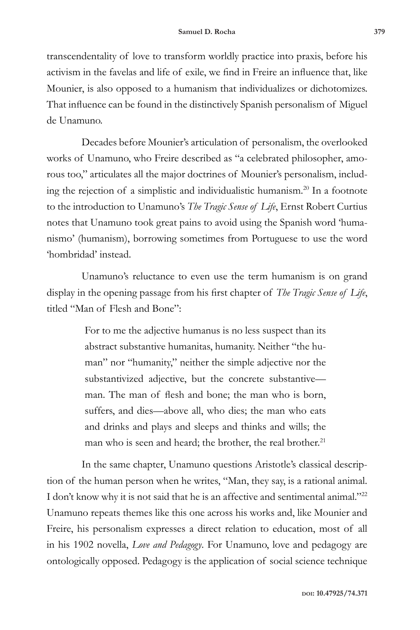transcendentality of love to transform worldly practice into praxis, before his activism in the favelas and life of exile, we find in Freire an influence that, like Mounier, is also opposed to a humanism that individualizes or dichotomizes. That influence can be found in the distinctively Spanish personalism of Miguel de Unamuno.

Decades before Mounier's articulation of personalism, the overlooked works of Unamuno, who Freire described as "a celebrated philosopher, amorous too," articulates all the major doctrines of Mounier's personalism, including the rejection of a simplistic and individualistic humanism.20 In a footnote to the introduction to Unamuno's *The Tragic Sense of Life*, Ernst Robert Curtius notes that Unamuno took great pains to avoid using the Spanish word 'humanismo' (humanism), borrowing sometimes from Portuguese to use the word 'hombridad' instead.

Unamuno's reluctance to even use the term humanism is on grand display in the opening passage from his first chapter of *The Tragic Sense of Life*, titled "Man of Flesh and Bone":

> For to me the adjective humanus is no less suspect than its abstract substantive humanitas, humanity. Neither "the human" nor "humanity," neither the simple adjective nor the substantivized adjective, but the concrete substantive man. The man of flesh and bone; the man who is born, suffers, and dies—above all, who dies; the man who eats and drinks and plays and sleeps and thinks and wills; the man who is seen and heard; the brother, the real brother.<sup>21</sup>

In the same chapter, Unamuno questions Aristotle's classical description of the human person when he writes, "Man, they say, is a rational animal. I don't know why it is not said that he is an affective and sentimental animal."<sup>22</sup> Unamuno repeats themes like this one across his works and, like Mounier and Freire, his personalism expresses a direct relation to education, most of all in his 1902 novella, *Love and Pedagogy*. For Unamuno, love and pedagogy are ontologically opposed. Pedagogy is the application of social science technique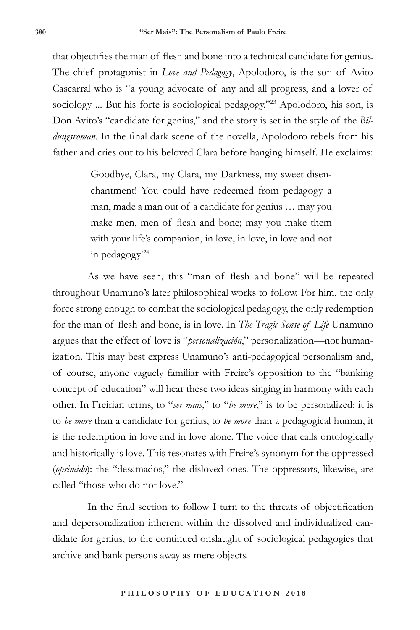that objectifies the man of flesh and bone into a technical candidate for genius. The chief protagonist in *Love and Pedagogy*, Apolodoro, is the son of Avito Cascarral who is "a young advocate of any and all progress, and a lover of sociology ... But his forte is sociological pedagogy."<sup>23</sup> Apolodoro, his son, is Don Avito's "candidate for genius," and the story is set in the style of the *Bildungsroman*. In the final dark scene of the novella, Apolodoro rebels from his father and cries out to his beloved Clara before hanging himself. He exclaims:

> Goodbye, Clara, my Clara, my Darkness, my sweet disenchantment! You could have redeemed from pedagogy a man, made a man out of a candidate for genius … may you make men, men of flesh and bone; may you make them with your life's companion, in love, in love, in love and not in pedagogy!24

As we have seen, this "man of flesh and bone" will be repeated throughout Unamuno's later philosophical works to follow. For him, the only force strong enough to combat the sociological pedagogy, the only redemption for the man of flesh and bone, is in love. In *The Tragic Sense of Life* Unamuno argues that the effect of love is "*personalización*," personalization—not humanization. This may best express Unamuno's anti-pedagogical personalism and, of course, anyone vaguely familiar with Freire's opposition to the "banking concept of education" will hear these two ideas singing in harmony with each other. In Freirian terms, to "*ser mais*," to "*be more*," is to be personalized: it is to *be more* than a candidate for genius, to *be more* than a pedagogical human, it is the redemption in love and in love alone. The voice that calls ontologically and historically is love. This resonates with Freire's synonym for the oppressed (*oprimido*): the "desamados," the disloved ones. The oppressors, likewise, are called "those who do not love."

In the final section to follow I turn to the threats of objectification and depersonalization inherent within the dissolved and individualized candidate for genius, to the continued onslaught of sociological pedagogies that archive and bank persons away as mere objects.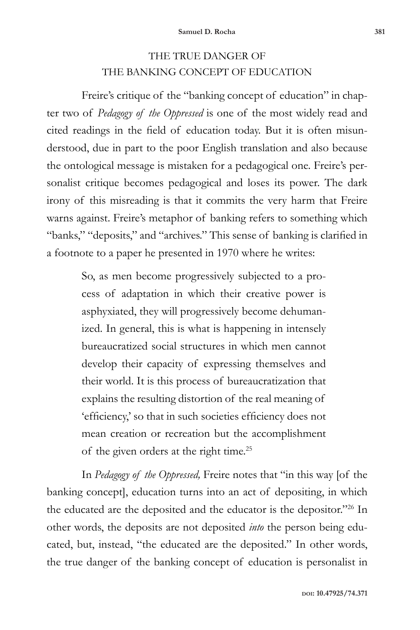## THE TRUE DANGER OF THE BANKING CONCEPT OF EDUCATION

Freire's critique of the "banking concept of education" in chapter two of *Pedagogy of the Oppressed* is one of the most widely read and cited readings in the field of education today. But it is often misunderstood, due in part to the poor English translation and also because the ontological message is mistaken for a pedagogical one. Freire's personalist critique becomes pedagogical and loses its power. The dark irony of this misreading is that it commits the very harm that Freire warns against. Freire's metaphor of banking refers to something which "banks," "deposits," and "archives." This sense of banking is clarified in a footnote to a paper he presented in 1970 where he writes:

> So, as men become progressively subjected to a process of adaptation in which their creative power is asphyxiated, they will progressively become dehumanized. In general, this is what is happening in intensely bureaucratized social structures in which men cannot develop their capacity of expressing themselves and their world. It is this process of bureaucratization that explains the resulting distortion of the real meaning of 'efficiency,' so that in such societies efficiency does not mean creation or recreation but the accomplishment of the given orders at the right time.25

In *Pedagogy of the Oppressed,* Freire notes that "in this way [of the banking concept], education turns into an act of depositing, in which the educated are the deposited and the educator is the depositor."26 In other words, the deposits are not deposited *into* the person being educated, but, instead, "the educated are the deposited." In other words, the true danger of the banking concept of education is personalist in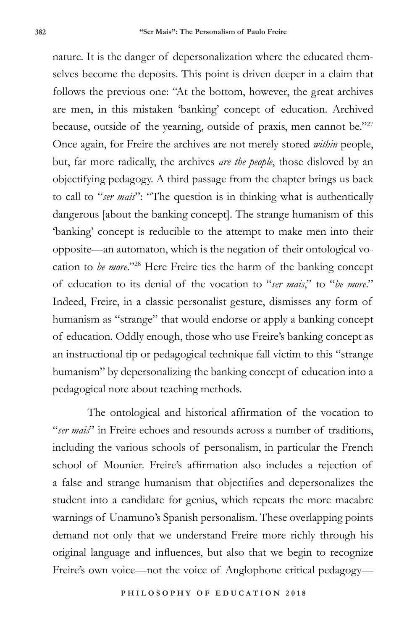nature. It is the danger of depersonalization where the educated themselves become the deposits. This point is driven deeper in a claim that follows the previous one: "At the bottom, however, the great archives are men, in this mistaken 'banking' concept of education. Archived because, outside of the yearning, outside of praxis, men cannot be."27 Once again, for Freire the archives are not merely stored *within* people, but, far more radically, the archives *are the people*, those disloved by an objectifying pedagogy. A third passage from the chapter brings us back to call to "*ser mais*": "The question is in thinking what is authentically dangerous [about the banking concept]. The strange humanism of this 'banking' concept is reducible to the attempt to make men into their opposite—an automaton, which is the negation of their ontological vocation to *be more*."28 Here Freire ties the harm of the banking concept of education to its denial of the vocation to "*ser mais*," to "*be more*." Indeed, Freire, in a classic personalist gesture, dismisses any form of humanism as "strange" that would endorse or apply a banking concept of education. Oddly enough, those who use Freire's banking concept as an instructional tip or pedagogical technique fall victim to this "strange humanism" by depersonalizing the banking concept of education into a pedagogical note about teaching methods.

The ontological and historical affirmation of the vocation to "*ser mais*" in Freire echoes and resounds across a number of traditions, including the various schools of personalism, in particular the French school of Mounier. Freire's affirmation also includes a rejection of a false and strange humanism that objectifies and depersonalizes the student into a candidate for genius, which repeats the more macabre warnings of Unamuno's Spanish personalism. These overlapping points demand not only that we understand Freire more richly through his original language and influences, but also that we begin to recognize Freire's own voice—not the voice of Anglophone critical pedagogy—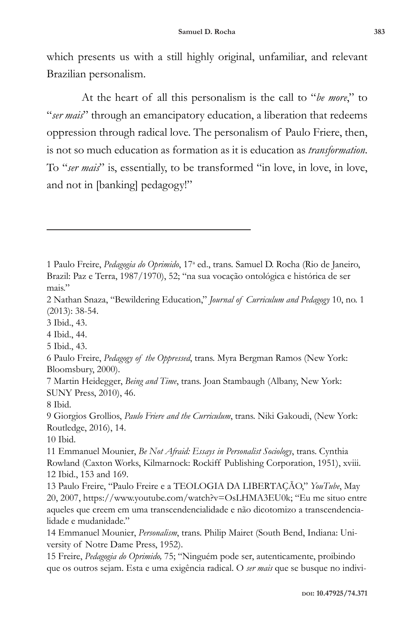which presents us with a still highly original, unfamiliar, and relevant Brazilian personalism.

At the heart of all this personalism is the call to "*be more*," to "*ser mais*" through an emancipatory education, a liberation that redeems oppression through radical love. The personalism of Paulo Friere, then, is not so much education as formation as it is education as *transformation*. To "*ser mais*" is, essentially, to be transformed "in love, in love, in love, and not in [banking] pedagogy!"

2 Nathan Snaza, "Bewildering Education," *Journal of Curriculum and Pedagogy* 10, no. 1 (2013): 38-54.

3 Ibid., 43.

4 Ibid., 44.

5 Ibid., 43.

6 Paulo Freire, *Pedagogy of the Oppressed*, trans. Myra Bergman Ramos (New York: Bloomsbury, 2000).

7 Martin Heidegger, *Being and Time*, trans. Joan Stambaugh (Albany, New York: SUNY Press, 2010), 46.

8 Ibid.

9 Giorgios Grollios, *Paulo Friere and the Curriculum*, trans. Niki Gakoudi, (New York: Routledge, 2016), 14.

10 Ibid.

11 Emmanuel Mounier, *Be Not Afraid: Essays in Personalist Sociology*, trans. Cynthia Rowland (Caxton Works, Kilmarnock: Rockiff Publishing Corporation, 1951), xviii. 12 Ibid., 153 and 169.

13 Paulo Freire, "Paulo Freire e a TEOLOGIA DA LIBERTAÇÃO," *YouTube*, May 20, 2007, https://www.youtube.com/watch?v=OsLHMA3EU0k; "Eu me situo entre aqueles que creem em uma transcendencialidade e não dicotomizo a transcendencialidade e mudanidade."

14 Emmanuel Mounier, *Personalism*, trans. Philip Mairet (South Bend, Indiana: University of Notre Dame Press, 1952).

15 Freire, *Pedagogia do Oprimido,* 75; "Ninguém pode ser, autenticamente, proibindo que os outros sejam. Esta e uma exigência radical. O *ser mais* que se busque no indivi-

<sup>1</sup> Paulo Freire, Pedagogia do Oprimido, 17ª ed., trans. Samuel D. Rocha (Rio de Janeiro, Brazil: Paz e Terra, 1987/1970), 52; "na sua vocação ontológica e histórica de ser mais."